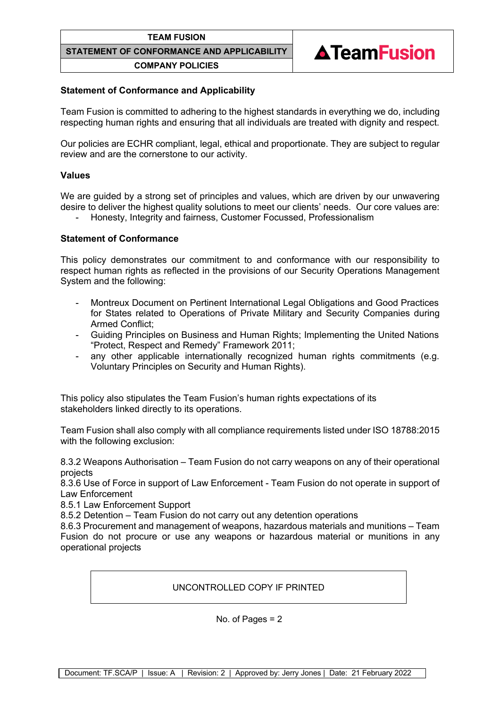#### **TEAM FUSION**

**STATEMENT OF CONFORMANCE AND APPLICABILITY**

**COMPANY POLICIES**



# **Statement of Conformance and Applicability**

Team Fusion is committed to adhering to the highest standards in everything we do, including respecting human rights and ensuring that all individuals are treated with dignity and respect.

Our policies are ECHR compliant, legal, ethical and proportionate. They are subject to regular review and are the cornerstone to our activity.

### **Values**

We are guided by a strong set of principles and values, which are driven by our unwavering desire to deliver the highest quality solutions to meet our clients' needs. Our core values are:

- Honesty, Integrity and fairness, Customer Focussed, Professionalism

# **Statement of Conformance**

This policy demonstrates our commitment to and conformance with our responsibility to respect human rights as reflected in the provisions of our Security Operations Management System and the following:

- Montreux Document on Pertinent International Legal Obligations and Good Practices for States related to Operations of Private Military and Security Companies during Armed Conflict;
- Guiding Principles on Business and Human Rights; Implementing the United Nations "Protect, Respect and Remedy" Framework 2011;
- any other applicable internationally recognized human rights commitments (e.g. Voluntary Principles on Security and Human Rights).

This policy also stipulates the Team Fusion's human rights expectations of its stakeholders linked directly to its operations.

Team Fusion shall also comply with all compliance requirements listed under ISO 18788:2015 with the following exclusion:

8.3.2 Weapons Authorisation – Team Fusion do not carry weapons on any of their operational projects

8.3.6 Use of Force in support of Law Enforcement - Team Fusion do not operate in support of Law Enforcement

8.5.1 Law Enforcement Support

8.5.2 Detention – Team Fusion do not carry out any detention operations

8.6.3 Procurement and management of weapons, hazardous materials and munitions – Team Fusion do not procure or use any weapons or hazardous material or munitions in any operational projects

UNCONTROLLED COPY IF PRINTED

No. of Pages  $= 2$